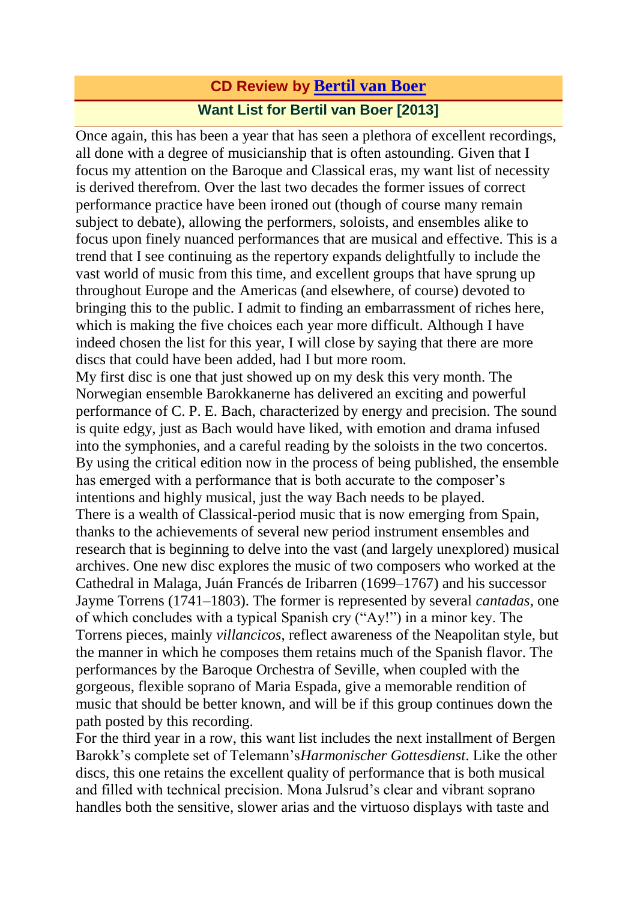## **CD Review by [Bertil](http://www.fanfarearchive.com/indices/itop/reviewers/h1_200.html) van Boer Want List for Bertil van Boer [2013]**

Once again, this has been a year that has seen a plethora of excellent recordings, all done with a degree of musicianship that is often astounding. Given that I focus my attention on the Baroque and Classical eras, my want list of necessity is derived therefrom. Over the last two decades the former issues of correct performance practice have been ironed out (though of course many remain subject to debate), allowing the performers, soloists, and ensembles alike to focus upon finely nuanced performances that are musical and effective. This is a trend that I see continuing as the repertory expands delightfully to include the vast world of music from this time, and excellent groups that have sprung up throughout Europe and the Americas (and elsewhere, of course) devoted to bringing this to the public. I admit to finding an embarrassment of riches here, which is making the five choices each year more difficult. Although I have indeed chosen the list for this year, I will close by saying that there are more discs that could have been added, had I but more room. My first disc is one that just showed up on my desk this very month. The Norwegian ensemble Barokkanerne has delivered an exciting and powerful performance of C. P. E. Bach, characterized by energy and precision. The sound

is quite edgy, just as Bach would have liked, with emotion and drama infused into the symphonies, and a careful reading by the soloists in the two concertos. By using the critical edition now in the process of being published, the ensemble has emerged with a performance that is both accurate to the composer's intentions and highly musical, just the way Bach needs to be played. There is a wealth of Classical-period music that is now emerging from Spain, thanks to the achievements of several new period instrument ensembles and research that is beginning to delve into the vast (and largely unexplored) musical archives. One new disc explores the music of two composers who worked at the Cathedral in Malaga, Juán Francés de Iribarren (1699–1767) and his successor Jayme Torrens (1741–1803). The former is represented by several *cantadas*, one of which concludes with a typical Spanish cry ("Ay!") in a minor key. The Torrens pieces, mainly *villancicos*, reflect awareness of the Neapolitan style, but the manner in which he composes them retains much of the Spanish flavor. The performances by the Baroque Orchestra of Seville, when coupled with the gorgeous, flexible soprano of Maria Espada, give a memorable rendition of music that should be better known, and will be if this group continues down the path posted by this recording.

For the third year in a row, this want list includes the next installment of Bergen Barokk's complete set of Telemann's*Harmonischer Gottesdienst*. Like the other discs, this one retains the excellent quality of performance that is both musical and filled with technical precision. Mona Julsrud's clear and vibrant soprano handles both the sensitive, slower arias and the virtuoso displays with taste and